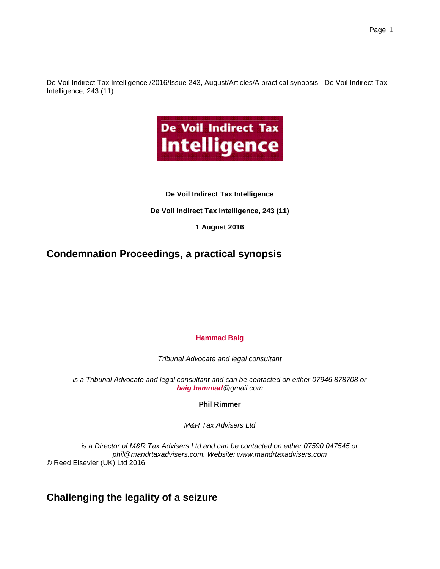De Voil Indirect Tax Intelligence /2016/Issue 243, August/Articles/A practical synopsis - De Voil Indirect Tax Intelligence, 243 (11)



### **De Voil Indirect Tax Intelligence**

**De Voil Indirect Tax Intelligence, 243 (11)**

**1 August 2016**

# **Condemnation Proceedings, a practical synopsis**

### **Hammad Baig**

*Tribunal Advocate and legal consultant*

*is a Tribunal Advocate and legal consultant and can be contacted on either 07946 878708 or baig.hammad@gmail.com*

**Phil Rimmer**

*M&R Tax Advisers Ltd*

*is a Director of M&R Tax Advisers Ltd and can be contacted on either 07590 047545 or phil@mandrtaxadvisers.com. Website: www.mandrtaxadvisers.com* © Reed Elsevier (UK) Ltd 2016

**Challenging the legality of a seizure**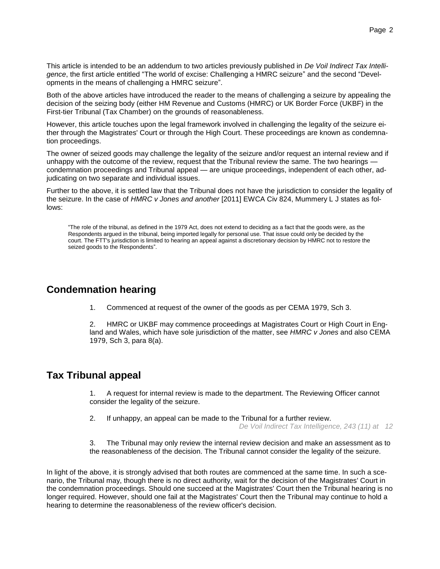This article is intended to be an addendum to two articles previously published in *De Voil Indirect Tax Intelligence*, the first article entitled "The world of excise: Challenging a HMRC seizure" and the second "Developments in the means of challenging a HMRC seizure".

Both of the above articles have introduced the reader to the means of challenging a seizure by appealing the decision of the seizing body (either HM Revenue and Customs (HMRC) or UK Border Force (UKBF) in the First-tier Tribunal (Tax Chamber) on the grounds of reasonableness.

However, this article touches upon the legal framework involved in challenging the legality of the seizure either through the Magistrates' Court or through the High Court. These proceedings are known as condemnation proceedings.

The owner of seized goods may challenge the legality of the seizure and/or request an internal review and if unhappy with the outcome of the review, request that the Tribunal review the same. The two hearings condemnation proceedings and Tribunal appeal — are unique proceedings, independent of each other, adjudicating on two separate and individual issues.

Further to the above, it is settled law that the Tribunal does not have the jurisdiction to consider the legality of the seizure. In the case of *HMRC v Jones and another* [2011] EWCA Civ 824, Mummery L J states as follows:

"The role of the tribunal, as defined in the 1979 Act, does not extend to deciding as a fact that the goods were, as the Respondents argued in the tribunal, being imported legally for personal use. That issue could only be decided by the court. The FTT's jurisdiction is limited to hearing an appeal against a discretionary decision by HMRC not to restore the seized goods to the Respondents".

### **Condemnation hearing**

1. Commenced at request of the owner of the goods as per CEMA 1979, Sch 3.

2. HMRC or UKBF may commence proceedings at Magistrates Court or High Court in England and Wales, which have sole jurisdiction of the matter, see *HMRC v Jones* and also CEMA 1979, Sch 3, para 8(a).

## **Tax Tribunal appeal**

1. A request for internal review is made to the department. The Reviewing Officer cannot consider the legality of the seizure.

2. If unhappy, an appeal can be made to the Tribunal for a further review.

*De Voil Indirect Tax Intelligence, 243 (11) at 12*

3. The Tribunal may only review the internal review decision and make an assessment as to the reasonableness of the decision. The Tribunal cannot consider the legality of the seizure.

In light of the above, it is strongly advised that both routes are commenced at the same time. In such a scenario, the Tribunal may, though there is no direct authority, wait for the decision of the Magistrates' Court in the condemnation proceedings. Should one succeed at the Magistrates' Court then the Tribunal hearing is no longer required. However, should one fail at the Magistrates' Court then the Tribunal may continue to hold a hearing to determine the reasonableness of the review officer's decision.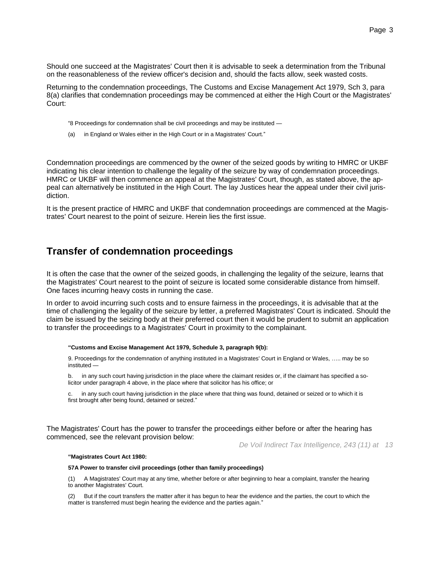Should one succeed at the Magistrates' Court then it is advisable to seek a determination from the Tribunal on the reasonableness of the review officer's decision and, should the facts allow, seek wasted costs.

Returning to the condemnation proceedings, The Customs and Excise Management Act 1979, Sch 3, para 8(a) clarifies that condemnation proceedings may be commenced at either the High Court or the Magistrates' Court:

"8 Proceedings for condemnation shall be civil proceedings and may be instituted —

(a) in England or Wales either in the High Court or in a Magistrates' Court."

Condemnation proceedings are commenced by the owner of the seized goods by writing to HMRC or UKBF indicating his clear intention to challenge the legality of the seizure by way of condemnation proceedings. HMRC or UKBF will then commence an appeal at the Magistrates' Court, though, as stated above, the appeal can alternatively be instituted in the High Court. The lay Justices hear the appeal under their civil jurisdiction.

It is the present practice of HMRC and UKBF that condemnation proceedings are commenced at the Magistrates' Court nearest to the point of seizure. Herein lies the first issue.

### **Transfer of condemnation proceedings**

It is often the case that the owner of the seized goods, in challenging the legality of the seizure, learns that the Magistrates' Court nearest to the point of seizure is located some considerable distance from himself. One faces incurring heavy costs in running the case.

In order to avoid incurring such costs and to ensure fairness in the proceedings, it is advisable that at the time of challenging the legality of the seizure by letter, a preferred Magistrates' Court is indicated. Should the claim be issued by the seizing body at their preferred court then it would be prudent to submit an application to transfer the proceedings to a Magistrates' Court in proximity to the complainant.

#### **"Customs and Excise Management Act 1979, Schedule 3, paragraph 9(b):**

9. Proceedings for the condemnation of anything instituted in a Magistrates' Court in England or Wales, ….. may be so instituted —

b. in any such court having jurisdiction in the place where the claimant resides or, if the claimant has specified a solicitor under paragraph 4 above, in the place where that solicitor has his office; or

in any such court having jurisdiction in the place where that thing was found, detained or seized or to which it is first brought after being found, detained or seized."

The Magistrates' Court has the power to transfer the proceedings either before or after the hearing has commenced, see the relevant provision below:

*De Voil Indirect Tax Intelligence, 243 (11) at 13*

#### **"Magistrates Court Act 1980:**

#### **57A Power to transfer civil proceedings (other than family proceedings)**

(1) A Magistrates' Court may at any time, whether before or after beginning to hear a complaint, transfer the hearing to another Magistrates' Court.

(2) But if the court transfers the matter after it has begun to hear the evidence and the parties, the court to which the matter is transferred must begin hearing the evidence and the parties again."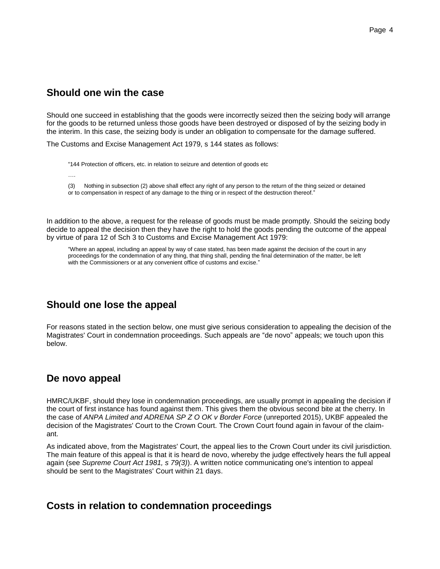### **Should one win the case**

Should one succeed in establishing that the goods were incorrectly seized then the seizing body will arrange for the goods to be returned unless those goods have been destroyed or disposed of by the seizing body in the interim. In this case, the seizing body is under an obligation to compensate for the damage suffered.

The Customs and Excise Management Act 1979, s 144 states as follows:

"144 Protection of officers, etc. in relation to seizure and detention of goods etc

….

(3) Nothing in subsection (2) above shall effect any right of any person to the return of the thing seized or detained or to compensation in respect of any damage to the thing or in respect of the destruction thereof."

In addition to the above, a request for the release of goods must be made promptly. Should the seizing body decide to appeal the decision then they have the right to hold the goods pending the outcome of the appeal by virtue of para 12 of Sch 3 to Customs and Excise Management Act 1979:

"Where an appeal, including an appeal by way of case stated, has been made against the decision of the court in any proceedings for the condemnation of any thing, that thing shall, pending the final determination of the matter, be left with the Commissioners or at any convenient office of customs and excise."

# **Should one lose the appeal**

For reasons stated in the section below, one must give serious consideration to appealing the decision of the Magistrates' Court in condemnation proceedings. Such appeals are "de novo" appeals; we touch upon this below.

## **De novo appeal**

HMRC/UKBF, should they lose in condemnation proceedings, are usually prompt in appealing the decision if the court of first instance has found against them. This gives them the obvious second bite at the cherry. In the case of *ANPA Limited and ADRENA SP Z O OK v Border Force* (unreported 2015), UKBF appealed the decision of the Magistrates' Court to the Crown Court. The Crown Court found again in favour of the claimant.

As indicated above, from the Magistrates' Court, the appeal lies to the Crown Court under its civil jurisdiction. The main feature of this appeal is that it is heard de novo, whereby the judge effectively hears the full appeal again (see *Supreme Court Act 1981, s 79(3)*). A written notice communicating one's intention to appeal should be sent to the Magistrates' Court within 21 days.

### **Costs in relation to condemnation proceedings**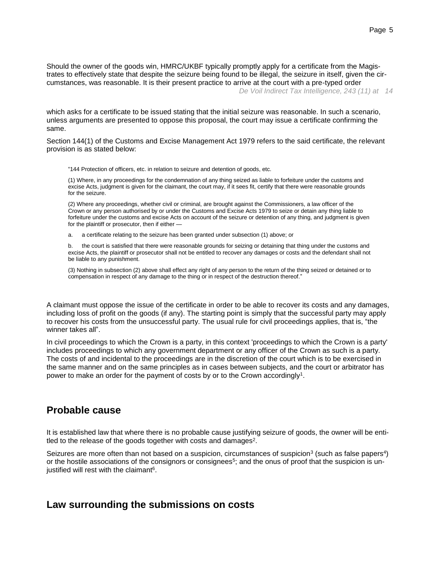Should the owner of the goods win, HMRC/UKBF typically promptly apply for a certificate from the Magistrates to effectively state that despite the seizure being found to be illegal, the seizure in itself, given the circumstances, was reasonable. It is their present practice to arrive at the court with a pre-typed order *De Voil Indirect Tax Intelligence, 243 (11) at 14*

which asks for a certificate to be issued stating that the initial seizure was reasonable. In such a scenario, unless arguments are presented to oppose this proposal, the court may issue a certificate confirming the same.

Section 144(1) of the Customs and Excise Management Act 1979 refers to the said certificate, the relevant provision is as stated below:

"144 Protection of officers, etc. in relation to seizure and detention of goods, etc.

(1) Where, in any proceedings for the condemnation of any thing seized as liable to forfeiture under the customs and excise Acts, judgment is given for the claimant, the court may, if it sees fit, certify that there were reasonable grounds for the seizure.

(2) Where any proceedings, whether civil or criminal, are brought against the Commissioners, a law officer of the Crown or any person authorised by or under the Customs and Excise Acts 1979 to seize or detain any thing liable to forfeiture under the customs and excise Acts on account of the seizure or detention of any thing, and judgment is given for the plaintiff or prosecutor, then if either —

a. a certificate relating to the seizure has been granted under subsection (1) above; or

b. the court is satisfied that there were reasonable grounds for seizing or detaining that thing under the customs and excise Acts, the plaintiff or prosecutor shall not be entitled to recover any damages or costs and the defendant shall not be liable to any punishment.

(3) Nothing in subsection (2) above shall effect any right of any person to the return of the thing seized or detained or to compensation in respect of any damage to the thing or in respect of the destruction thereof."

A claimant must oppose the issue of the certificate in order to be able to recover its costs and any damages, including loss of profit on the goods (if any). The starting point is simply that the successful party may apply to recover his costs from the unsuccessful party. The usual rule for civil proceedings applies, that is, "the winner takes all".

In civil proceedings to which the Crown is a party, in this context 'proceedings to which the Crown is a party' includes proceedings to which any government department or any officer of the Crown as such is a party. The costs of and incidental to the proceedings are in the discretion of the court which is to be exercised in the same manner and on the same principles as in cases between subjects, and the court or arbitrator has power to make an order for the payment of costs by or to the Crown accordingly<sup>1</sup>.

### **Probable cause**

It is established law that where there is no probable cause justifying seizure of goods, the owner will be entitled to the release of the goods together with costs and damages<sup>2</sup>.

Seizures are more often than not based on a suspicion, circumstances of suspicion<sup>3</sup> (such as false papers<sup>4</sup>) or the hostile associations of the consignors or consignees<sup>5</sup>; and the onus of proof that the suspicion is unjustified will rest with the claimant<sup>6</sup>.

### **Law surrounding the submissions on costs**